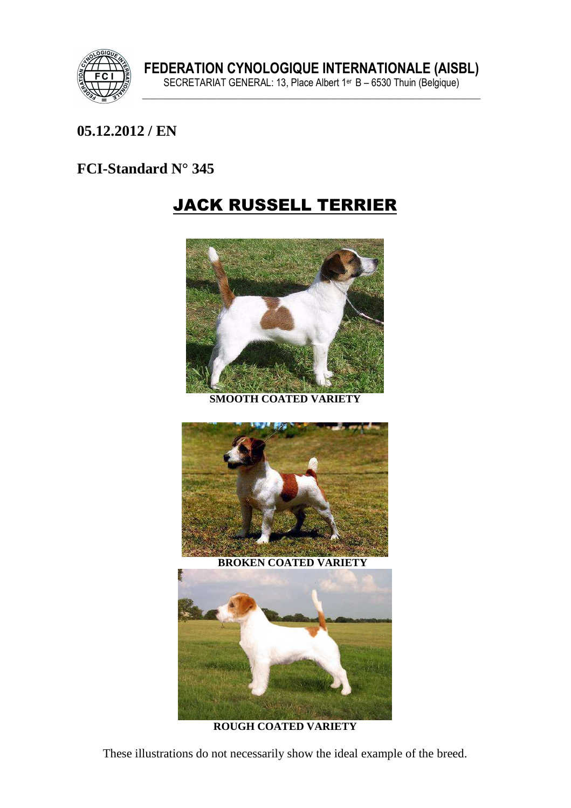

## **05.12.2012 / EN**

## **FCI-Standard N° 345**

## JACK RUSSELL TERRIER



**SMOOTH COATED VARIETY** 



 **BROKEN COATED VARIETY** 



**ROUGH COATED VARIETY** 

These illustrations do not necessarily show the ideal example of the breed.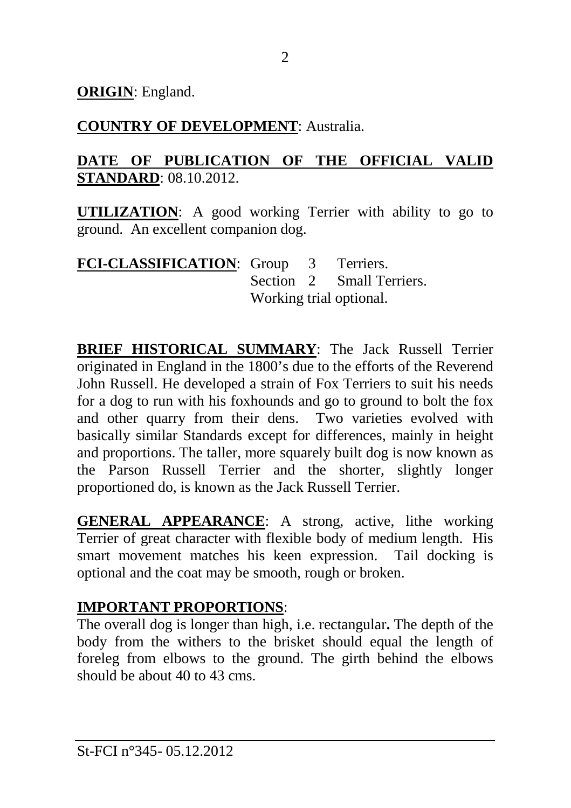**ORIGIN**: England.

## **COUNTRY OF DEVELOPMENT**: Australia.

## **DATE OF PUBLICATION OF THE OFFICIAL VALID STANDARD**: 08.10.2012.

**UTILIZATION**: A good working Terrier with ability to go to ground. An excellent companion dog.

**FCI-CLASSIFICATION**: Group 3 Terriers. Section 2 Small Terriers. Working trial optional.

**BRIEF HISTORICAL SUMMARY**: The Jack Russell Terrier originated in England in the 1800's due to the efforts of the Reverend John Russell. He developed a strain of Fox Terriers to suit his needs for a dog to run with his foxhounds and go to ground to bolt the fox and other quarry from their dens. Two varieties evolved with basically similar Standards except for differences, mainly in height and proportions. The taller, more squarely built dog is now known as the Parson Russell Terrier and the shorter, slightly longer proportioned do, is known as the Jack Russell Terrier.

**GENERAL APPEARANCE**: A strong, active, lithe working Terrier of great character with flexible body of medium length. His smart movement matches his keen expression. Tail docking is optional and the coat may be smooth, rough or broken.

## **IMPORTANT PROPORTIONS**:

The overall dog is longer than high, i.e. rectangular**.** The depth of the body from the withers to the brisket should equal the length of foreleg from elbows to the ground. The girth behind the elbows should be about 40 to 43 cms.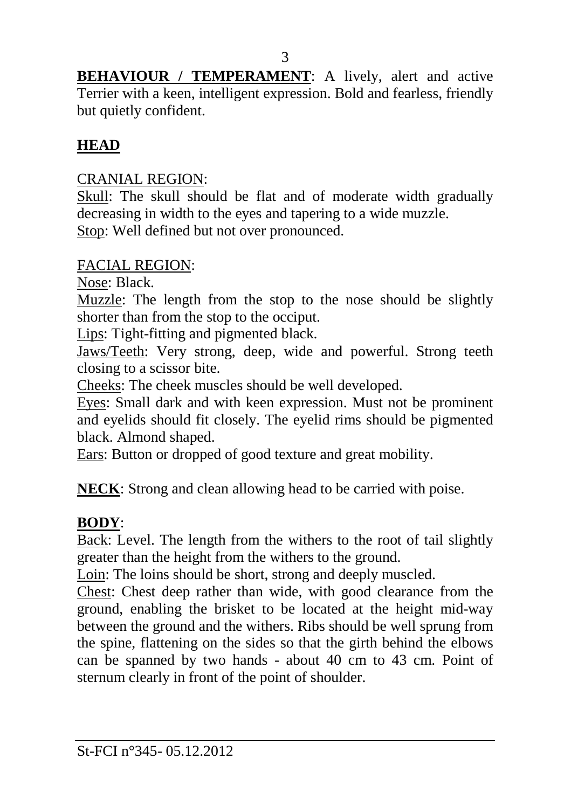3

**BEHAVIOUR / TEMPERAMENT**: A lively, alert and active Terrier with a keen, intelligent expression. Bold and fearless, friendly but quietly confident.

## **HEAD**

#### CRANIAL REGION:

Skull: The skull should be flat and of moderate width gradually decreasing in width to the eyes and tapering to a wide muzzle. Stop: Well defined but not over pronounced.

#### FACIAL REGION:

Nose: Black.

Muzzle: The length from the stop to the nose should be slightly shorter than from the stop to the occiput.

Lips: Tight-fitting and pigmented black.

Jaws/Teeth: Very strong, deep, wide and powerful. Strong teeth closing to a scissor bite.

Cheeks: The cheek muscles should be well developed.

Eyes: Small dark and with keen expression. Must not be prominent and eyelids should fit closely. The eyelid rims should be pigmented black. Almond shaped.

Ears: Button or dropped of good texture and great mobility.

**NECK**: Strong and clean allowing head to be carried with poise.

#### **BODY**:

Back: Level. The length from the withers to the root of tail slightly greater than the height from the withers to the ground.

Loin: The loins should be short, strong and deeply muscled.

Chest: Chest deep rather than wide, with good clearance from the ground, enabling the brisket to be located at the height mid-way between the ground and the withers. Ribs should be well sprung from the spine, flattening on the sides so that the girth behind the elbows can be spanned by two hands - about 40 cm to 43 cm. Point of sternum clearly in front of the point of shoulder.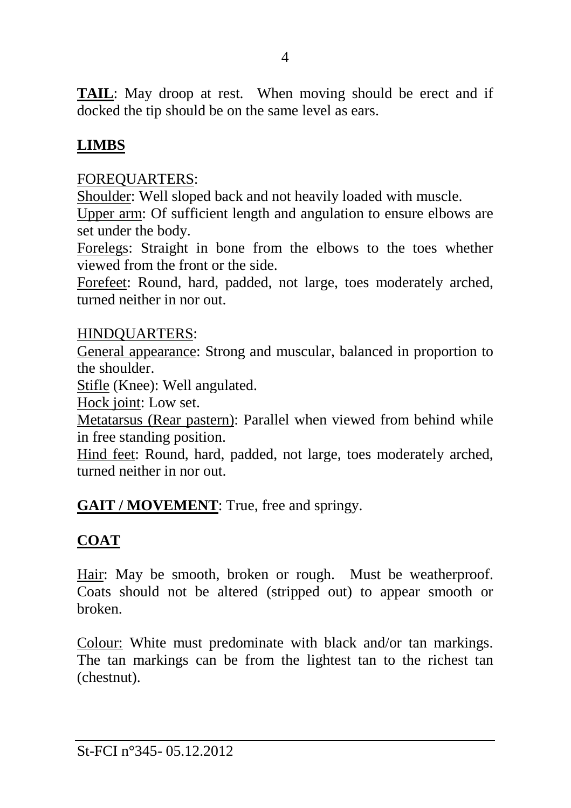**TAIL**: May droop at rest. When moving should be erect and if docked the tip should be on the same level as ears.

## **LIMBS**

#### FOREQUARTERS:

Shoulder: Well sloped back and not heavily loaded with muscle.

Upper arm: Of sufficient length and angulation to ensure elbows are set under the body.

Forelegs: Straight in bone from the elbows to the toes whether viewed from the front or the side.

Forefeet: Round, hard, padded, not large, toes moderately arched, turned neither in nor out.

#### HINDQUARTERS:

General appearance: Strong and muscular, balanced in proportion to the shoulder.

Stifle (Knee): Well angulated.

Hock joint: Low set.

Metatarsus (Rear pastern): Parallel when viewed from behind while in free standing position.

Hind feet: Round, hard, padded, not large, toes moderately arched, turned neither in nor out.

#### **GAIT / MOVEMENT**: True, free and springy.

## **COAT**

Hair: May be smooth, broken or rough. Must be weatherproof. Coats should not be altered (stripped out) to appear smooth or broken.

Colour: White must predominate with black and/or tan markings. The tan markings can be from the lightest tan to the richest tan (chestnut).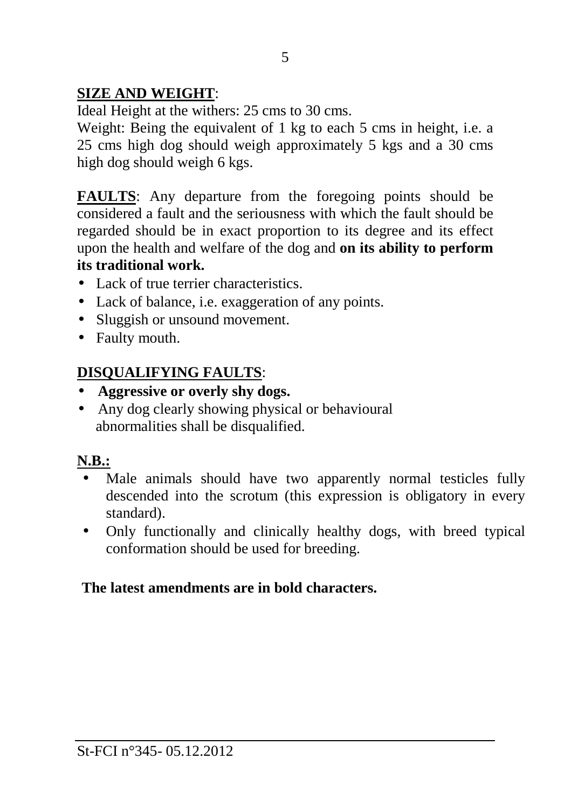## **SIZE AND WEIGHT**:

Ideal Height at the withers: 25 cms to 30 cms.

Weight: Being the equivalent of 1 kg to each 5 cms in height, i.e. a 25 cms high dog should weigh approximately 5 kgs and a 30 cms high dog should weigh 6 kgs.

**FAULTS**: Any departure from the foregoing points should be considered a fault and the seriousness with which the fault should be regarded should be in exact proportion to its degree and its effect upon the health and welfare of the dog and **on its ability to perform its traditional work.** 

- Lack of true terrier characteristics.
- Lack of balance, i.e. exaggeration of any points.
- Sluggish or unsound movement.
- Faulty mouth.

## **DISQUALIFYING FAULTS**:

- **Aggressive or overly shy dogs.**
- Any dog clearly showing physical or behavioural abnormalities shall be disqualified.

## **N.B.:**

- Male animals should have two apparently normal testicles fully descended into the scrotum (this expression is obligatory in every standard).
- Only functionally and clinically healthy dogs, with breed typical conformation should be used for breeding.

#### **The latest amendments are in bold characters.**